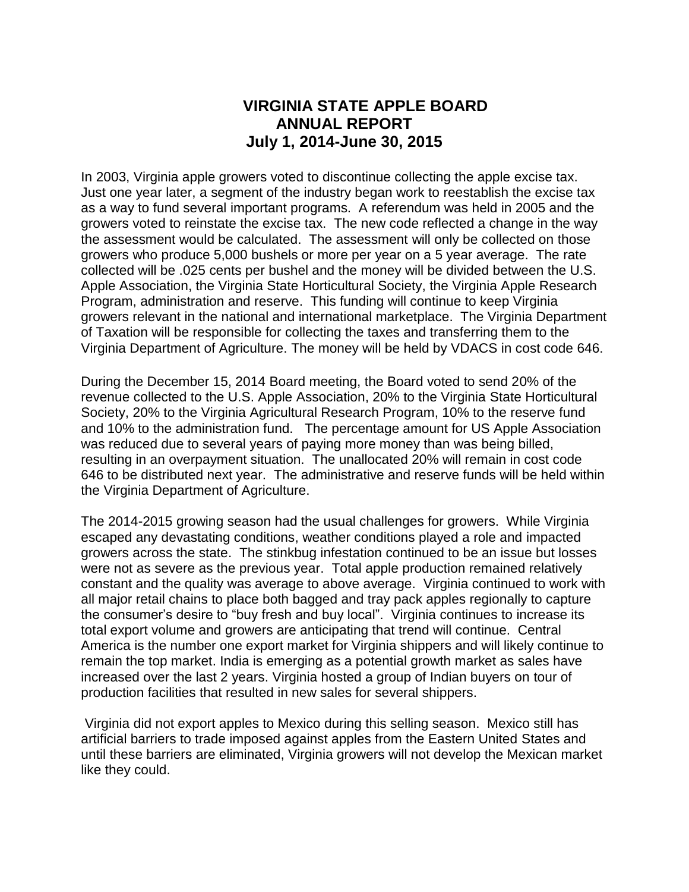## **VIRGINIA STATE APPLE BOARD ANNUAL REPORT July 1, 2014-June 30, 2015**

In 2003, Virginia apple growers voted to discontinue collecting the apple excise tax. Just one year later, a segment of the industry began work to reestablish the excise tax as a way to fund several important programs. A referendum was held in 2005 and the growers voted to reinstate the excise tax. The new code reflected a change in the way the assessment would be calculated. The assessment will only be collected on those growers who produce 5,000 bushels or more per year on a 5 year average. The rate collected will be .025 cents per bushel and the money will be divided between the U.S. Apple Association, the Virginia State Horticultural Society, the Virginia Apple Research Program, administration and reserve. This funding will continue to keep Virginia growers relevant in the national and international marketplace. The Virginia Department of Taxation will be responsible for collecting the taxes and transferring them to the Virginia Department of Agriculture. The money will be held by VDACS in cost code 646.

During the December 15, 2014 Board meeting, the Board voted to send 20% of the revenue collected to the U.S. Apple Association, 20% to the Virginia State Horticultural Society, 20% to the Virginia Agricultural Research Program, 10% to the reserve fund and 10% to the administration fund. The percentage amount for US Apple Association was reduced due to several years of paying more money than was being billed, resulting in an overpayment situation. The unallocated 20% will remain in cost code 646 to be distributed next year. The administrative and reserve funds will be held within the Virginia Department of Agriculture.

The 2014-2015 growing season had the usual challenges for growers. While Virginia escaped any devastating conditions, weather conditions played a role and impacted growers across the state. The stinkbug infestation continued to be an issue but losses were not as severe as the previous year. Total apple production remained relatively constant and the quality was average to above average. Virginia continued to work with all major retail chains to place both bagged and tray pack apples regionally to capture the consumer's desire to "buy fresh and buy local". Virginia continues to increase its total export volume and growers are anticipating that trend will continue. Central America is the number one export market for Virginia shippers and will likely continue to remain the top market. India is emerging as a potential growth market as sales have increased over the last 2 years. Virginia hosted a group of Indian buyers on tour of production facilities that resulted in new sales for several shippers.

Virginia did not export apples to Mexico during this selling season. Mexico still has artificial barriers to trade imposed against apples from the Eastern United States and until these barriers are eliminated, Virginia growers will not develop the Mexican market like they could.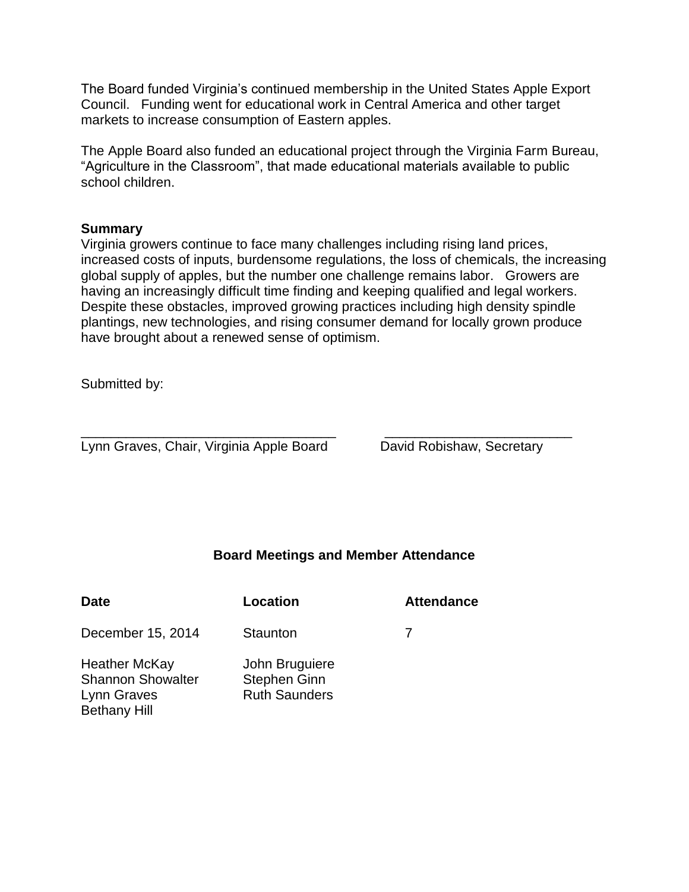The Board funded Virginia's continued membership in the United States Apple Export Council. Funding went for educational work in Central America and other target markets to increase consumption of Eastern apples.

The Apple Board also funded an educational project through the Virginia Farm Bureau, "Agriculture in the Classroom", that made educational materials available to public school children.

#### **Summary**

Virginia growers continue to face many challenges including rising land prices, increased costs of inputs, burdensome regulations, the loss of chemicals, the increasing global supply of apples, but the number one challenge remains labor. Growers are having an increasingly difficult time finding and keeping qualified and legal workers. Despite these obstacles, improved growing practices including high density spindle plantings, new technologies, and rising consumer demand for locally grown produce have brought about a renewed sense of optimism.

Submitted by:

Lynn Graves, Chair, Virginia Apple Board David Robishaw, Secretary

### **Board Meetings and Member Attendance**

\_\_\_\_\_\_\_\_\_\_\_\_\_\_\_\_\_\_\_\_\_\_\_\_\_\_\_\_\_\_\_\_\_\_ \_\_\_\_\_\_\_\_\_\_\_\_\_\_\_\_\_\_\_\_\_\_\_\_\_

| <b>Date</b>                                                                            | Location                                                      | <b>Attendance</b> |
|----------------------------------------------------------------------------------------|---------------------------------------------------------------|-------------------|
| December 15, 2014                                                                      | Staunton                                                      |                   |
| <b>Heather McKay</b><br><b>Shannon Showalter</b><br>Lynn Graves<br><b>Bethany Hill</b> | John Bruguiere<br><b>Stephen Ginn</b><br><b>Ruth Saunders</b> |                   |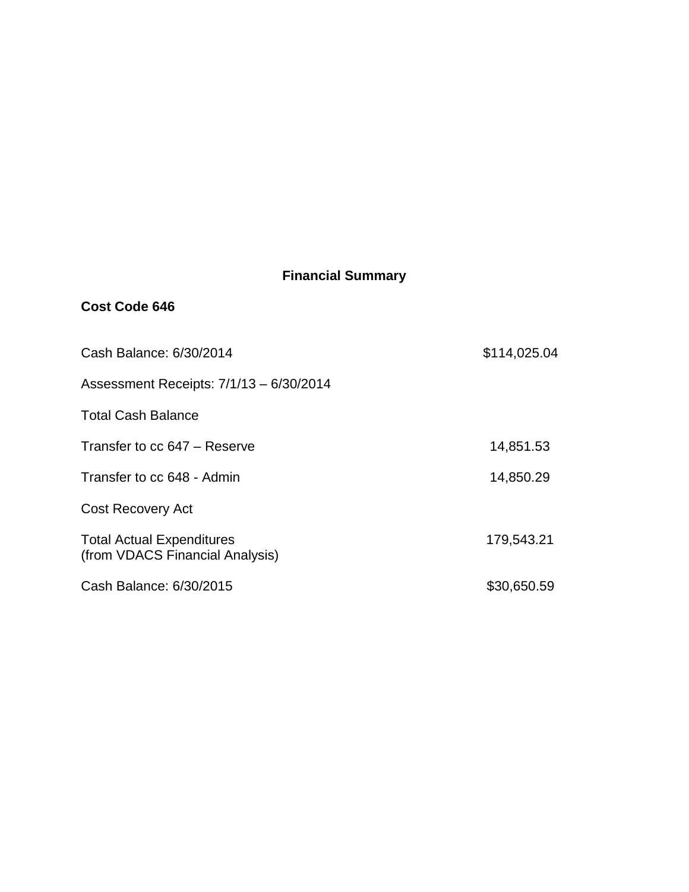# **Financial Summary**

### **Cost Code 646**

| Cash Balance: 6/30/2014                                             | \$114,025.04 |
|---------------------------------------------------------------------|--------------|
| Assessment Receipts: 7/1/13 - 6/30/2014                             |              |
| <b>Total Cash Balance</b>                                           |              |
| Transfer to cc 647 - Reserve                                        | 14,851.53    |
| Transfer to cc 648 - Admin                                          | 14,850.29    |
| <b>Cost Recovery Act</b>                                            |              |
| <b>Total Actual Expenditures</b><br>(from VDACS Financial Analysis) | 179,543.21   |
| Cash Balance: 6/30/2015                                             | \$30,650.59  |